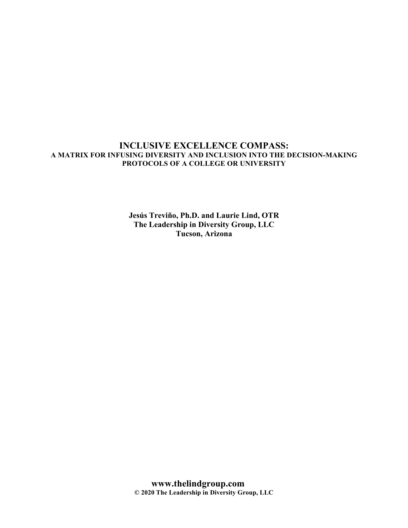## **INCLUSIVE EXCELLENCE COMPASS: A MATRIX FOR INFUSING DIVERSITY AND INCLUSION INTO THE DECISION-MAKING PROTOCOLS OF A COLLEGE OR UNIVERSITY**

**Jesús Treviño, Ph.D. and Laurie Lind, OTR The Leadership in Diversity Group, LLC Tucson, Arizona**

**www.thelindgroup.com © 2020 The Leadership in Diversity Group, LLC**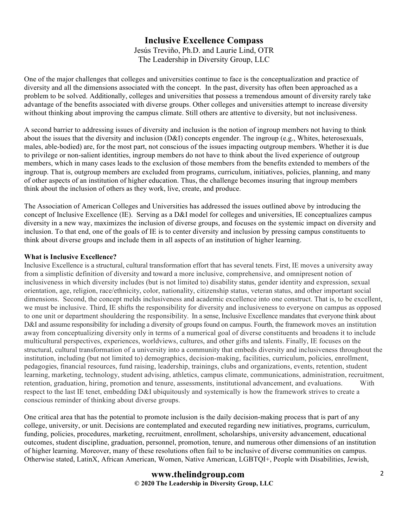# **Inclusive Excellence Compass** Jesús Treviño, Ph.D. and Laurie Lind, OTR The Leadership in Diversity Group, LLC

One of the major challenges that colleges and universities continue to face is the conceptualization and practice of diversity and all the dimensions associated with the concept. In the past, diversity has often been approached as a problem to be solved. Additionally, colleges and universities that possess a tremendous amount of diversity rarely take advantage of the benefits associated with diverse groups. Other colleges and universities attempt to increase diversity without thinking about improving the campus climate. Still others are attentive to diversity, but not inclusiveness.

A second barrier to addressing issues of diversity and inclusion is the notion of ingroup members not having to think about the issues that the diversity and inclusion (D&I) concepts engender. The ingroup (e.g., Whites, heterosexuals, males, able-bodied) are, for the most part, not conscious of the issues impacting outgroup members. Whether it is due to privilege or non-salient identities, ingroup members do not have to think about the lived experience of outgroup members, which in many cases leads to the exclusion of those members from the benefits extended to members of the ingroup. That is, outgroup members are excluded from programs, curriculum, initiatives, policies, planning, and many of other aspects of an institution of higher education. Thus, the challenge becomes insuring that ingroup members think about the inclusion of others as they work, live, create, and produce.

The Association of American Colleges and Universities has addressed the issues outlined above by introducing the concept of Inclusive Excellence (IE). Serving as a D&I model for colleges and universities, IE conceptualizes campus diversity in a new way, maximizes the inclusion of diverse groups, and focuses on the systemic impact on diversity and inclusion. To that end, one of the goals of IE is to center diversity and inclusion by pressing campus constituents to think about diverse groups and include them in all aspects of an institution of higher learning.

### **What is Inclusive Excellence?**

Inclusive Excellence is a structural, cultural transformation effort that has several tenets. First, IE moves a university away from a simplistic definition of diversity and toward a more inclusive, comprehensive, and omnipresent notion of inclusiveness in which diversity includes (but is not limited to) disability status, gender identity and expression, sexual orientation, age, religion, race/ethnicity, color, nationality, citizenship status, veteran status, and other important social dimensions. Second, the concept melds inclusiveness and academic excellence into one construct. That is, to be excellent, we must be inclusive. Third, IE shifts the responsibility for diversity and inclusiveness to everyone on campus as opposed to one unit or department shouldering the responsibility. In a sense, Inclusive Excellence mandates that everyone think about D&I and assume responsibility for including a diversity of groups found on campus. Fourth, the framework moves an institution away from conceptualizing diversity only in terms of a numerical goal of diverse constituents and broadens it to include multicultural perspectives, experiences, worldviews, cultures, and other gifts and talents. Finally, IE focuses on the structural, cultural transformation of a university into a community that embeds diversity and inclusiveness throughout the institution, including (but not limited to) demographics, decision-making, facilities, curriculum, policies, enrollment, pedagogies, financial resources, fund raising, leadership, trainings, clubs and organizations, events, retention, student learning, marketing, technology, student advising, athletics, campus climate, communications, administration, recruitment, retention, graduation, hiring, promotion and tenure, assessments, institutional advancement, and evaluations. With respect to the last IE tenet, embedding D&I ubiquitously and systemically is how the framework strives to create a conscious reminder of thinking about diverse groups.

One critical area that has the potential to promote inclusion is the daily decision-making process that is part of any college, university, or unit. Decisions are contemplated and executed regarding new initiatives, programs, curriculum, funding, policies, procedures, marketing, recruitment, enrollment, scholarships, university advancement, educational outcomes, student discipline, graduation, personnel, promotion, tenure, and numerous other dimensions of an institution of higher learning. Moreover, many of these resolutions often fail to be inclusive of diverse communities on campus. Otherwise stated, LatinX, African American, Women, Native American, LGBTQI+, People with Disabilities, Jewish,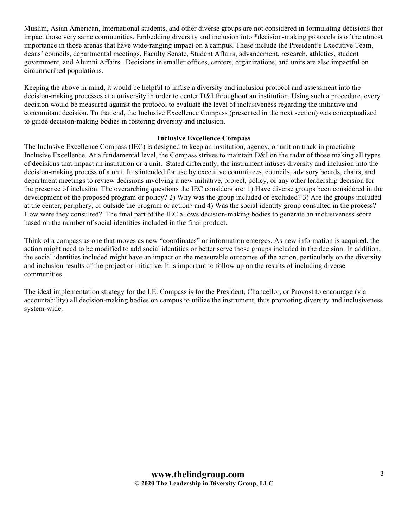Muslim, Asian American, International students, and other diverse groups are not considered in formulating decisions that impact those very same communities. Embedding diversity and inclusion into \*decision-making protocols is of the utmost importance in those arenas that have wide-ranging impact on a campus. These include the President's Executive Team, deans' councils, departmental meetings, Faculty Senate, Student Affairs, advancement, research, athletics, student government, and Alumni Affairs. Decisions in smaller offices, centers, organizations, and units are also impactful on circumscribed populations.

Keeping the above in mind, it would be helpful to infuse a diversity and inclusion protocol and assessment into the decision-making processes at a university in order to center D&I throughout an institution. Using such a procedure, every decision would be measured against the protocol to evaluate the level of inclusiveness regarding the initiative and concomitant decision. To that end, the Inclusive Excellence Compass (presented in the next section) was conceptualized to guide decision-making bodies in fostering diversity and inclusion.

#### **Inclusive Excellence Compass**

The Inclusive Excellence Compass (IEC) is designed to keep an institution, agency, or unit on track in practicing Inclusive Excellence. At a fundamental level, the Compass strives to maintain D&I on the radar of those making all types of decisions that impact an institution or a unit. Stated differently, the instrument infuses diversity and inclusion into the decision-making process of a unit. It is intended for use by executive committees, councils, advisory boards, chairs, and department meetings to review decisions involving a new initiative, project, policy, or any other leadership decision for the presence of inclusion. The overarching questions the IEC considers are: 1) Have diverse groups been considered in the development of the proposed program or policy? 2) Why was the group included or excluded? 3) Are the groups included at the center, periphery, or outside the program or action? and 4) Was the social identity group consulted in the process? How were they consulted? The final part of the IEC allows decision-making bodies to generate an inclusiveness score based on the number of social identities included in the final product.

Think of a compass as one that moves as new "coordinates" or information emerges. As new information is acquired, the action might need to be modified to add social identities or better serve those groups included in the decision. In addition, the social identities included might have an impact on the measurable outcomes of the action, particularly on the diversity and inclusion results of the project or initiative. It is important to follow up on the results of including diverse communities.

The ideal implementation strategy for the I.E. Compass is for the President, Chancellor, or Provost to encourage (via accountability) all decision-making bodies on campus to utilize the instrument, thus promoting diversity and inclusiveness system-wide.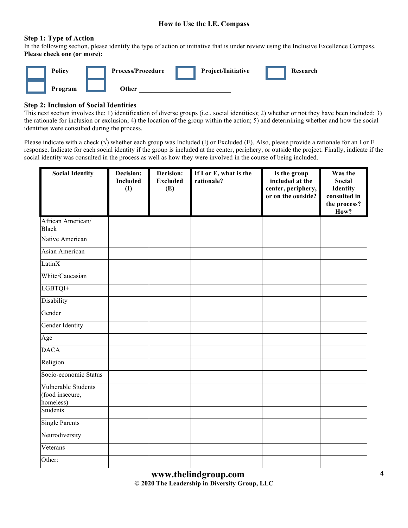### **How to Use the I.E. Compass**

#### **Step 1: Type of Action**

In the following section, please identify the type of action or initiative that is under review using the Inclusive Excellence Compass. **Please check one (or more):**



### **Step 2: Inclusion of Social Identities**

This next section involves the: 1) identification of diverse groups (i.e., social identities); 2) whether or not they have been included; 3) the rationale for inclusion or exclusion; 4) the location of the group within the action; 5) and determining whether and how the social identities were consulted during the process.

Please indicate with a check  $(\sqrt{})$  whether each group was Included (I) or Excluded (E). Also, please provide a rationale for an I or E response. Indicate for each social identity if the group is included at the center, periphery, or outside the project. Finally, indicate if the social identity was consulted in the process as well as how they were involved in the course of being included.

| <b>Social Identity</b>                              | Decision:<br><b>Included</b><br>(1) | Decision:<br><b>Excluded</b><br>(E) | If I or E, what is the<br>rationale? | Is the group<br>included at the<br>center, periphery,<br>or on the outside? | Was the<br><b>Social</b><br><b>Identity</b><br>consulted in<br>the process?<br>How? |
|-----------------------------------------------------|-------------------------------------|-------------------------------------|--------------------------------------|-----------------------------------------------------------------------------|-------------------------------------------------------------------------------------|
| African American/<br><b>Black</b>                   |                                     |                                     |                                      |                                                                             |                                                                                     |
| Native American                                     |                                     |                                     |                                      |                                                                             |                                                                                     |
| Asian American                                      |                                     |                                     |                                      |                                                                             |                                                                                     |
| LatinX                                              |                                     |                                     |                                      |                                                                             |                                                                                     |
| White/Caucasian                                     |                                     |                                     |                                      |                                                                             |                                                                                     |
| LGBTQI+                                             |                                     |                                     |                                      |                                                                             |                                                                                     |
| Disability                                          |                                     |                                     |                                      |                                                                             |                                                                                     |
| Gender                                              |                                     |                                     |                                      |                                                                             |                                                                                     |
| Gender Identity                                     |                                     |                                     |                                      |                                                                             |                                                                                     |
| Age                                                 |                                     |                                     |                                      |                                                                             |                                                                                     |
| <b>DACA</b>                                         |                                     |                                     |                                      |                                                                             |                                                                                     |
| Religion                                            |                                     |                                     |                                      |                                                                             |                                                                                     |
| Socio-economic Status                               |                                     |                                     |                                      |                                                                             |                                                                                     |
| Vulnerable Students<br>(food insecure,<br>homeless) |                                     |                                     |                                      |                                                                             |                                                                                     |
| <b>Students</b>                                     |                                     |                                     |                                      |                                                                             |                                                                                     |
| Single Parents                                      |                                     |                                     |                                      |                                                                             |                                                                                     |
| Neurodiversity                                      |                                     |                                     |                                      |                                                                             |                                                                                     |
| Veterans                                            |                                     |                                     |                                      |                                                                             |                                                                                     |
| Other:                                              |                                     |                                     |                                      |                                                                             |                                                                                     |

**www.thelindgroup.com © 2020 The Leadership in Diversity Group, LLC**